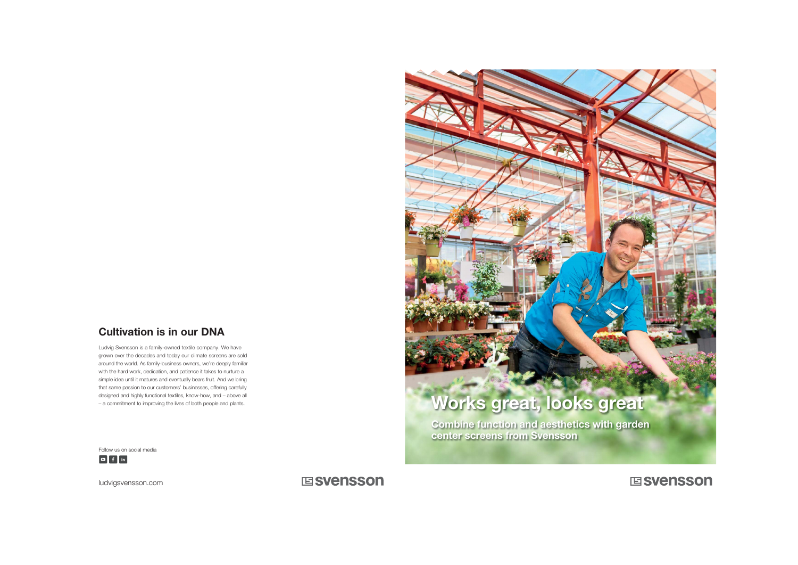## Cultivation is in our DNA

Ludvig Svensson is a family-owned textile company. We have grown over the decades and today our climate screens are sold around the world. As family-business owners, we're deeply familiar with the hard work, dedication, and patience it takes to nurture a simple idea until it matures and eventually bears fruit. And we bring that same passion to our customers' businesses, offering carefully designed and highly functional textiles, know-how, and – above all



ludvigsvensson.com

## **国SVenSSON**

## **国SVenSSON**

Follow us on social media